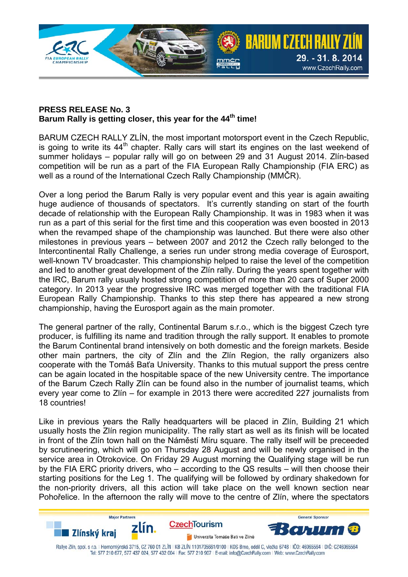

#### **PRESS RELEASE No. 3**  Barum Rally is getting closer, this year for the 44<sup>th</sup> time!

BARUM CZECH RALLY ZLÍN, the most important motorsport event in the Czech Republic, is going to write its  $44<sup>th</sup>$  chapter. Rally cars will start its engines on the last weekend of summer holidays – popular rally will go on between 29 and 31 August 2014. Zlín-based competition will be run as a part of the FIA European Rally Championship (FIA ERC) as well as a round of the International Czech Rally Championship (MMČR).

Over a long period the Barum Rally is very popular event and this year is again awaiting huge audience of thousands of spectators. It's currently standing on start of the fourth decade of relationship with the European Rally Championship. It was in 1983 when it was run as a part of this serial for the first time and this cooperation was even boosted in 2013 when the revamped shape of the championship was launched. But there were also other milestones in previous years – between 2007 and 2012 the Czech rally belonged to the Intercontinental Rally Challenge, a series run under strong media coverage of Eurosport, well-known TV broadcaster. This championship helped to raise the level of the competition and led to another great development of the Zlín rally. During the years spent together with the IRC, Barum rally usualy hosted strong competition of more than 20 cars of Super 2000 category. In 2013 year the progressive IRC was merged together with the traditional FIA European Rally Championship. Thanks to this step there has appeared a new strong championship, having the Eurosport again as the main promoter.

The general partner of the rally, Continental Barum s.r.o., which is the biggest Czech tyre producer, is fulfilling its name and tradition through the rally support. It enables to promote the Barum Continental brand intensively on both domestic and the foreign markets. Beside other main partners, the city of Zlín and the Zlín Region, the rally organizers also cooperate with the Tomáš Baťa University. Thanks to this mutual support the press centre can be again located in the hospitable space of the new University centre. The importance of the Barum Czech Rally Zlín can be found also in the number of journalist teams, which every year come to Zlín – for example in 2013 there were accredited 227 journalists from 18 countries!

Like in previous years the Rally headquarters will be placed in Zlín, Building 21 which usually hosts the Zlín region municipality. The rally start as well as its finish will be located in front of the Zlín town hall on the Náměstí Míru square. The rally itself will be preceeded by scrutineering, which will go on Thursday 28 August and will be newly organised in the service area in Otrokovice. On Friday 29 August morning the Qualifying stage will be run by the FIA ERC priority drivers, who – according to the QS results – will then choose their starting positions for the Leg 1. The qualifying will be followed by ordinary shakedown for the non-priority drivers, all this action will take place on the well known section near Pohořelice. In the afternoon the rally will move to the centre of Zlín, where the spectators